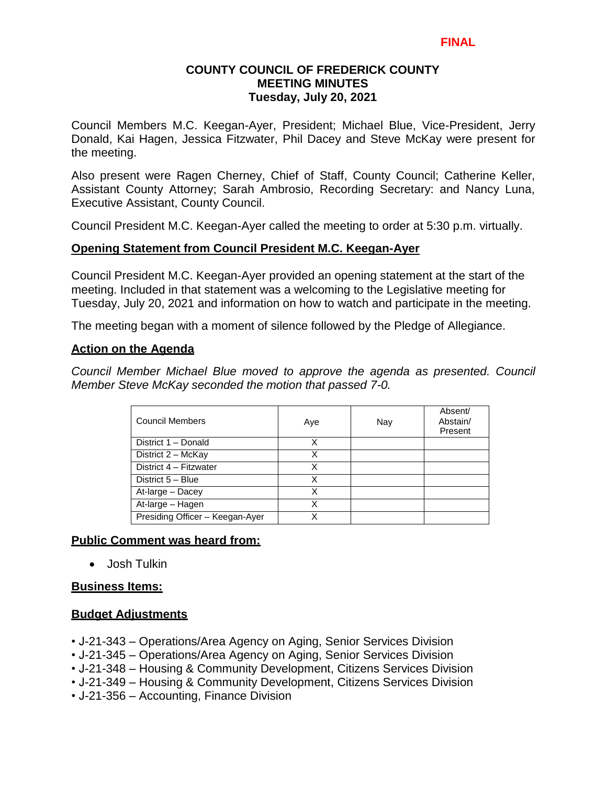#### **FINAL**

## **COUNTY COUNCIL OF FREDERICK COUNTY MEETING MINUTES Tuesday, July 20, 2021**

Council Members M.C. Keegan-Ayer, President; Michael Blue, Vice-President, Jerry Donald, Kai Hagen, Jessica Fitzwater, Phil Dacey and Steve McKay were present for the meeting.

Also present were Ragen Cherney, Chief of Staff, County Council; Catherine Keller, Assistant County Attorney; Sarah Ambrosio, Recording Secretary: and Nancy Luna, Executive Assistant, County Council.

Council President M.C. Keegan-Ayer called the meeting to order at 5:30 p.m. virtually.

## **Opening Statement from Council President M.C. Keegan-Ayer**

Council President M.C. Keegan-Ayer provided an opening statement at the start of the meeting. Included in that statement was a welcoming to the Legislative meeting for Tuesday, July 20, 2021 and information on how to watch and participate in the meeting.

The meeting began with a moment of silence followed by the Pledge of Allegiance.

### **Action on the Agenda**

*Council Member Michael Blue moved to approve the agenda as presented. Council Member Steve McKay seconded the motion that passed 7-0.*

| <b>Council Members</b>          | Aye | Nay | Absent/<br>Abstain/<br>Present |
|---------------------------------|-----|-----|--------------------------------|
| District 1 - Donald             | х   |     |                                |
| District 2 - McKay              | X   |     |                                |
| District 4 - Fitzwater          | X   |     |                                |
| District 5 - Blue               | Χ   |     |                                |
| At-large - Dacey                | x   |     |                                |
| At-large - Hagen                |     |     |                                |
| Presiding Officer - Keegan-Ayer | Х   |     |                                |

#### **Public Comment was heard from:**

Josh Tulkin

#### **Business Items:**

#### **Budget Adjustments**

- J-21-343 Operations/Area Agency on Aging, Senior Services Division
- J-21-345 Operations/Area Agency on Aging, Senior Services Division
- J-21-348 Housing & Community Development, Citizens Services Division
- J-21-349 Housing & Community Development, Citizens Services Division
- J-21-356 Accounting, Finance Division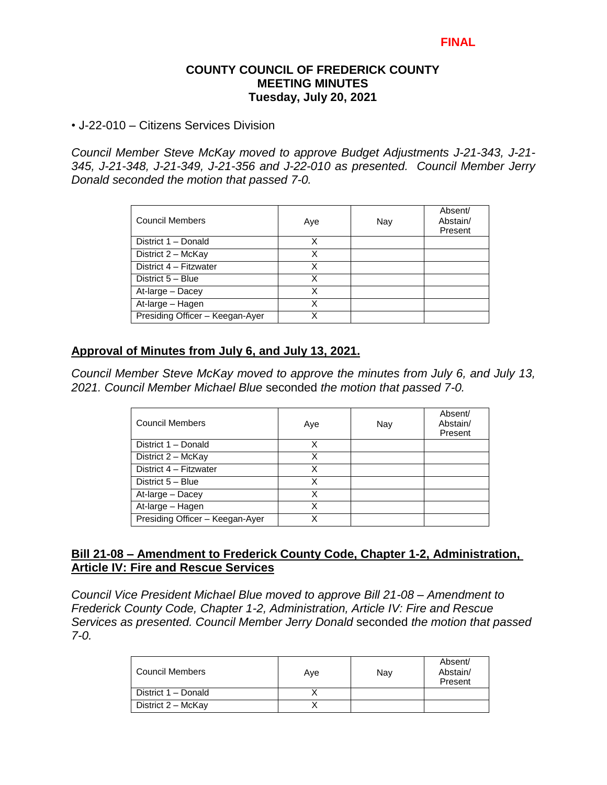## **COUNTY COUNCIL OF FREDERICK COUNTY MEETING MINUTES Tuesday, July 20, 2021**

• J-22-010 – Citizens Services Division

*Council Member Steve McKay moved to approve Budget Adjustments J-21-343, J-21- 345, J-21-348, J-21-349, J-21-356 and J-22-010 as presented. Council Member Jerry Donald seconded the motion that passed 7-0.*

| <b>Council Members</b>          | Aye | Nay | Absent/<br>Abstain/<br>Present |
|---------------------------------|-----|-----|--------------------------------|
| District 1 - Donald             | x   |     |                                |
| District 2 - McKay              | Χ   |     |                                |
| District 4 - Fitzwater          | Χ   |     |                                |
| District 5 - Blue               | х   |     |                                |
| At-large - Dacey                | x   |     |                                |
| At-large - Hagen                | Χ   |     |                                |
| Presiding Officer - Keegan-Ayer |     |     |                                |

### **Approval of Minutes from July 6, and July 13, 2021.**

*Council Member Steve McKay moved to approve the minutes from July 6, and July 13, 2021. Council Member Michael Blue* seconded *the motion that passed 7-0.* 

| Council Members                 | Aye | Nay | Absent/<br>Abstain/<br>Present |
|---------------------------------|-----|-----|--------------------------------|
| District 1 - Donald             | x   |     |                                |
| District 2 - McKay              | X   |     |                                |
| District 4 - Fitzwater          | X   |     |                                |
| District 5 - Blue               | X   |     |                                |
| At-large - Dacey                | Χ   |     |                                |
| At-large - Hagen                | x   |     |                                |
| Presiding Officer - Keegan-Ayer |     |     |                                |

### **Bill 21-08 – Amendment to Frederick County Code, Chapter 1-2, Administration, Article IV: Fire and Rescue Services**

*Council Vice President Michael Blue moved to approve Bill 21-08 – Amendment to Frederick County Code, Chapter 1-2, Administration, Article IV: Fire and Rescue Services as presented. Council Member Jerry Donald* seconded *the motion that passed 7-0.*

| Council Members     | Ave | Nav | Absent/<br>Abstain/<br>Present |
|---------------------|-----|-----|--------------------------------|
| District 1 - Donald |     |     |                                |
| District 2 - McKay  |     |     |                                |